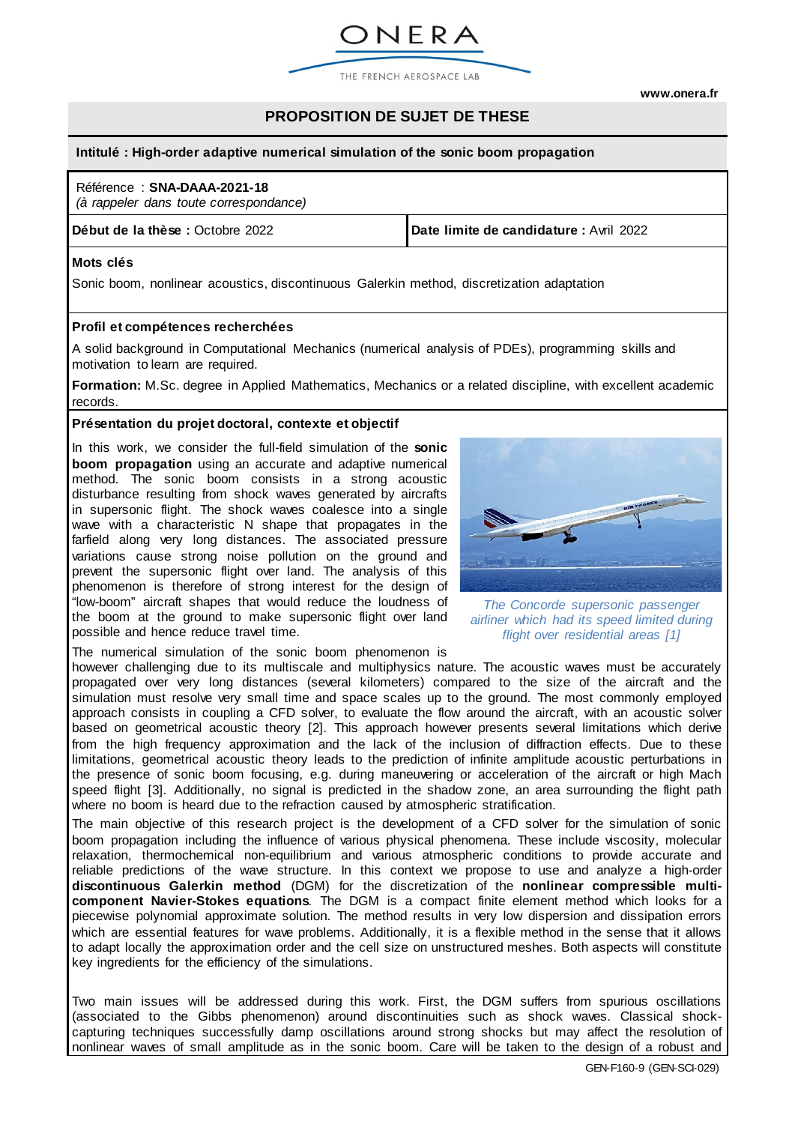

**[www.onera.fr](http://www.onera.fr/)**

# **PROPOSITION DE SUJET DE THESE**

#### **Intitulé : High-order adaptive numerical simulation of the sonic boom propagation**

#### Référence : **SNA-DAAA-2021-18**

*(à rappeler dans toute correspondance)*

**Début de la thèse :** Octobre 2022 **Date limite de candidature :** Avril 2022

#### **Mots clés**

Sonic boom, nonlinear acoustics, discontinuous Galerkin method, discretization adaptation

#### **Profil et compétences recherchées**

A solid background in Computational Mechanics (numerical analysis of PDEs), programming skills and motivation to learn are required.

**Formation:** M.Sc. degree in Applied Mathematics, Mechanics or a related discipline, with excellent academic records.

#### **Présentation du projet doctoral, contexte et objectif**

In this work, we consider the full-field simulation of the **sonic boom propagation** using an accurate and adaptive numerical method. The sonic boom consists in a strong acoustic disturbance resulting from shock waves generated by aircrafts in supersonic flight. The shock waves coalesce into a single wave with a characteristic N shape that propagates in the farfield along very long distances. The associated pressure variations cause strong noise pollution on the ground and prevent the supersonic flight over land. The analysis of this phenomenon is therefore of strong interest for the design of "low-boom" aircraft shapes that would reduce the loudness of the boom at the ground to make supersonic flight over land possible and hence reduce travel time.

The numerical simulation of the sonic boom phenomenon is

however challenging due to its multiscale and multiphysics nature. The acoustic waves must be accurately propagated over very long distances (several kilometers) compared to the size of the aircraft and the simulation must resolve very small time and space scales up to the ground. The most commonly employed approach consists in coupling a CFD solver, to evaluate the flow around the aircraft, with an acoustic solver based on geometrical acoustic theory [2]. This approach however presents several limitations which derive from the high frequency approximation and the lack of the inclusion of diffraction effects. Due to these limitations, geometrical acoustic theory leads to the prediction of infinite amplitude acoustic perturbations in the presence of sonic boom focusing, e.g. during maneuvering or acceleration of the aircraft or high Mach speed flight [3]. Additionally, no signal is predicted in the shadow zone, an area surrounding the flight path where no boom is heard due to the refraction caused by atmospheric stratification.

The main objective of this research project is the development of a CFD solver for the simulation of sonic boom propagation including the influence of various physical phenomena. These include viscosity, molecular relaxation, thermochemical non-equilibrium and various atmospheric conditions to provide accurate and reliable predictions of the wave structure. In this context we propose to use and analyze a high-order **discontinuous Galerkin method** (DGM) for the discretization of the **nonlinear compressible multicomponent Navier-Stokes equations**. The DGM is a compact finite element method which looks for a piecewise polynomial approximate solution. The method results in very low dispersion and dissipation errors which are essential features for wave problems. Additionally, it is a flexible method in the sense that it allows to adapt locally the approximation order and the cell size on unstructured meshes. Both aspects will constitute key ingredients for the efficiency of the simulations.

Two main issues will be addressed during this work. First, the DGM suffers from spurious oscillations (associated to the Gibbs phenomenon) around discontinuities such as shock waves. Classical shockcapturing techniques successfully damp oscillations around strong shocks but may affect the resolution of nonlinear waves of small amplitude as in the sonic boom. Care will be taken to the design of a robust and



*The Concorde supersonic passenger airliner which had its speed limited during flight over residential areas [1]*